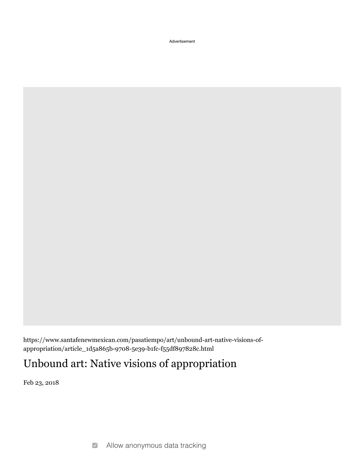Advertisement

https://www.santafenewmexican.com/pasatiempo/art/unbound-art-native-visions-ofappropriation/article\_1d5a865b-9708-5e39-b1fc-f55df897828c.html

## Unbound art: Native visions of appropriation

Feb 23, 2018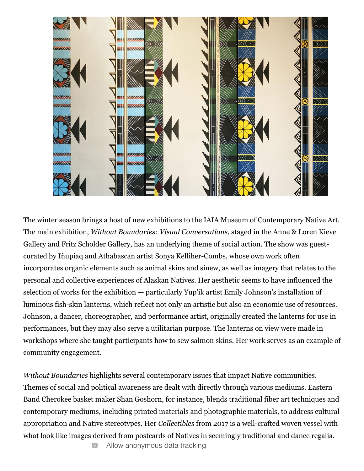

The winter season brings a host of new exhibitions to the IAIA Museum of Contemporary Native Art. The main exhibition, *Without Boundaries: Visual Conversations*, staged in the Anne & Loren Kieve Gallery and Fritz Scholder Gallery, has an underlying theme of social action. The show was guestcurated by Iñupiaq and Athabascan artist Sonya Kelliher-Combs, whose own work often incorporates organic elements such as animal skins and sinew, as well as imagery that relates to the personal and collective experiences of Alaskan Natives. Her aesthetic seems to have influenced the selection of works for the exhibition  $-$  particularly Yup'ik artist Emily Johnson's installation of luminous fish-skin lanterns, which reflect not only an artistic but also an economic use of resources. Johnson, a dancer, choreographer, and performance artist, originally created the lanterns for use in performances, but they may also serve a utilitarian purpose. The lanterns on view were made in workshops where she taught participants how to sew salmon skins. Her work serves as an example of community engagement.

*Without Boundaries* highlights several contemporary issues that impact Native communities. Themes of social and political awareness are dealt with directly through various mediums. Eastern Band Cherokee basket maker Shan Goshorn, for instance, blends traditional fiber art techniques and contemporary mediums, including printed materials and photographic materials, to address cultural appropriation and Native stereotypes. Her *Collectibles* from 2017 is a well-crafted woven vessel with what look like images derived from postcards of Natives in seemingly traditional and dance regalia.

> $\boxed{\checkmark}$ Allow anonymous data tracking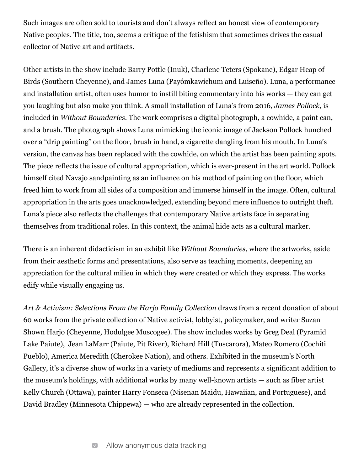Such images are often sold to tourists and don't always reflect an honest view of contemporary Native peoples. The title, too, seems a critique of the fetishism that sometimes drives the casual collector of Native art and artifacts.

Other artists in the show include Barry Pottle (Inuk), Charlene Teters (Spokane), Edgar Heap of Birds (Southern Cheyenne), and James Luna (Payómkawichum and Luiseño). Luna, a performance and installation artist, often uses humor to instill biting commentary into his works  $-$  they can get you laughing but also make you think. A small installation of Luna's from 2016, *James Pollock*, is included in *Without Boundaries*. The work comprises a digital photograph, a cowhide, a paint can, and a brush. The photograph shows Luna mimicking the iconic image of Jackson Pollock hunched over a "drip painting" on the floor, brush in hand, a cigarette dangling from his mouth. In Luna's version, the canvas has been replaced with the cowhide, on which the artist has been painting spots. The piece reflects the issue of cultural appropriation, which is ever-present in the art world. Pollock himself cited Navajo sandpainting as an influence on his method of painting on the floor, which freed him to work from all sides of a composition and immerse himself in the image. Often, cultural appropriation in the arts goes unacknowledged, extending beyond mere influence to outright theft. Luna's piece also reflects the challenges that contemporary Native artists face in separating themselves from traditional roles. In this context, the animal hide acts as a cultural marker.

There is an inherent didacticism in an exhibit like *Without Boundaries*, where the artworks, aside from their aesthetic forms and presentations, also serve as teaching moments, deepening an appreciation for the cultural milieu in which they were created or which they express. The works edify while visually engaging us.

Art & Activism: Selections From the Harjo Family Collection draws from a recent donation of about 60 works from the private collection of Native activist, lobbyist, policymaker, and writer Suzan Shown Harjo (Cheyenne, Hodulgee Muscogee). The show includes works by Greg Deal (Pyramid Lake Paiute), Jean LaMarr (Paiute, Pit River), Richard Hill (Tuscarora), Mateo Romero (Cochiti Pueblo), America Meredith (Cherokee Nation), and others. Exhibited in the museum's North Gallery, it's a diverse show of works in a variety of mediums and represents a significant addition to the museum's holdings, with additional works by many well-known artists  $-$  such as fiber artist Kelly Church (Ottawa), painter Harry Fonseca (Nisenan Maidu, Hawaiian, and Portuguese), and David Bradley (Minnesota Chippewa) — who are already represented in the collection.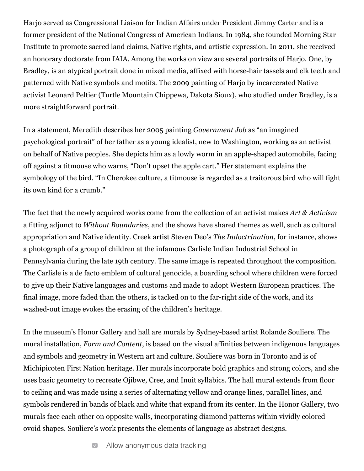Harjo served as Congressional Liaison for Indian Affairs under President Jimmy Carter and is a former president of the National Congress of American Indians. In 1984, she founded Morning Star Institute to promote sacred land claims, Native rights, and artistic expression. In 2011, she received an honorary doctorate from IAIA. Among the works on view are several portraits of Harjo. One, by Bradley, is an atypical portrait done in mixed media, affixed with horse-hair tassels and elk teeth and patterned with Native symbols and motifs. The 2009 painting of Harjo by incarcerated Native activist Leonard Peltier (Turtle Mountain Chippewa, Dakota Sioux), who studied under Bradley, is a more straightforward portrait.

In a statement, Meredith describes her 2005 painting *Government Job* as "an imagined psychological portrait" of her father as a young idealist, new to Washington, working as an activist on behalf of Native peoples. She depicts him as a lowly worm in an apple-shaped automobile, facing off against a titmouse who warns, "Don't upset the apple cart." Her statement explains the symbology of the bird. "In Cherokee culture, a titmouse is regarded as a traitorous bird who will fight its own kind for a crumb."

The fact that the newly acquired works come from the collection of an activist makes *Art & Activism* a fitting adjunct to *Without Boundaries*, and the shows have shared themes as well, such as cultural appropriation and Native identity. Creek artist Steven Deo's *The Indoctrination*, for instance, shows a photograph of a group of children at the infamous Carlisle Indian Industrial School in Pennsylvania during the late 19th century. The same image is repeated throughout the composition. The Carlisle is a de facto emblem of cultural genocide, a boarding school where children were forced to give up their Native languages and customs and made to adopt Western European practices. The final image, more faded than the others, is tacked on to the far-right side of the work, and its washed-out image evokes the erasing of the children's heritage.

In the museum's Honor Gallery and hall are murals by Sydney-based artist Rolande Souliere. The mural installation, *Form and Content*, is based on the visual affinities between indigenous languages and symbols and geometry in Western art and culture. Souliere was born in Toronto and is of Michipicoten First Nation heritage. Her murals incorporate bold graphics and strong colors, and she uses basic geometry to recreate Ojibwe, Cree, and Inuit syllabics. The hall mural extends from floor to ceiling and was made using a series of alternating yellow and orange lines, parallel lines, and symbols rendered in bands of black and white that expand from its center. In the Honor Gallery, two murals face each other on opposite walls, incorporating diamond patterns within vividly colored ovoid shapes. Souliere's work presents the elements of language as abstract designs.

> Allow anonymous data tracking  $\triangledown$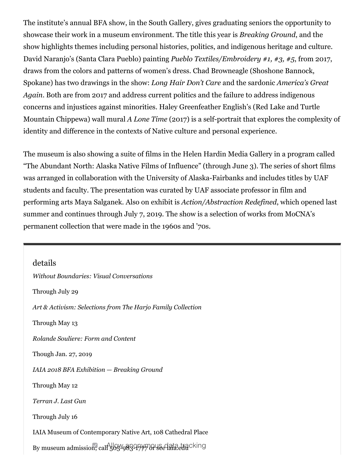The institute's annual BFA show, in the South Gallery, gives graduating seniors the opportunity to showcase their work in a museum environment. The title this year is *Breaking Ground*, and the show highlights themes including personal histories, politics, and indigenous heritage and culture. David Naranjo's (Santa Clara Pueblo) painting *Pueblo Textiles/Embroidery* #1, #3, #5, from 2017, draws from the colors and patterns of women's dress. Chad Browneagle (Shoshone Bannock, Spokane) has two drawings in the show: *Long Hair Don't Care* and the sardonic *America's Great Again*. Both are from 2017 and address current politics and the failure to address indigenous concerns and injustices against minorities. Haley Greenfeather English's (Red Lake and Turtle Mountain Chippewa) wall mural *A Lone Time* (2017) is a self-portrait that explores the complexity of identity and difference in the contexts of Native culture and personal experience.

The museum is also showing a suite of films in the Helen Hardin Media Gallery in a program called "The Abundant North: Alaska Native Films of Influence" (through June 3). The series of short films was arranged in collaboration with the University of Alaska-Fairbanks and includes titles by UAF students and faculty. The presentation was curated by UAF associate professor in film and performing arts Maya Salganek. Also on exhibit is *Action/Abstraction Redefined*, which opened last summer and continues through July 7, 2019. The show is a selection of works from MoCNA's permanent collection that were made in the 1960s and '70s.

details *Without Boundaries: Visual Conversations* Through July 29 Art & Activism: Selections from The Harjo Family Collection Through May 13 *Rolande Souliere: Form and Content* Though Jan. 27, 2019 *IAIA 2018 BFA Exhibition* — *Breaking Ground* Through May 12 *Terran J. Last Gun* Through July 16 IAIA Museum of Contemporary Native Art, 108 Cathedral Place By museum admission, call 505-983-17770 See lata.edu Cking